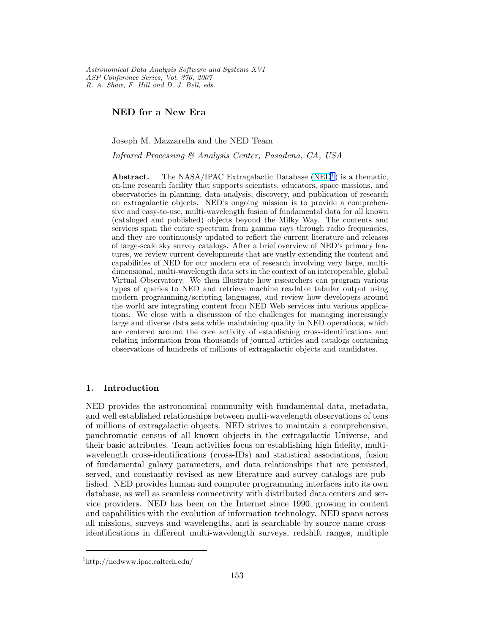Astronomical Data Analysis Software and Systems XVI ASP Conference Series, Vol. 376, 2007 R. A. Shaw, F. Hill and D. J. Bell, eds.

NED for a New Era

Joseph M. Mazzarella and the NED Team

Infrared Processing & Analysis Center, Pasadena, CA, USA

**Abstract.** The NASA/IPAC Extragalactic Database  $(NED<sup>1</sup>)$  is a thematic, on-line research facility that supports scientists, educators, space missions, and observatories in planning, data analysis, discovery, and publication of research on extragalactic objects. NED's ongoing mission is to provide a comprehensive and easy-to-use, multi-wavelength fusion of fundamental data for all known (cataloged and published) objects beyond the Milky Way. The contents and services span the entire spectrum from gamma rays through radio frequencies, and they are continuously updated to reflect the current literature and releases of large-scale sky survey catalogs. After a brief overview of NED's primary features, we review current developments that are vastly extending the content and capabilities of NED for our modern era of research involving very large, multidimensional, multi-wavelength data sets in the context of an interoperable, global Virtual Observatory. We then illustrate how researchers can program various types of queries to NED and retrieve machine readable tabular output using modern programming/scripting languages, and review how developers around the world are integrating content from NED Web services into various applications. We close with a discussion of the challenges for managing increasingly large and diverse data sets while maintaining quality in NED operations, which are centered around the core activity of establishing cross-identifications and relating information from thousands of journal articles and catalogs containing observations of hundreds of millions of extragalactic objects and candidates.

#### 1. Introduction

NED provides the astronomical community with fundamental data, metadata, and well established relationships between multi-wavelength observations of tens of millions of extragalactic objects. NED strives to maintain a comprehensive, panchromatic census of all known objects in the extragalactic Universe, and their basic attributes. Team activities focus on establishing high fidelity, multiwavelength cross-identifications (cross-IDs) and statistical associations, fusion of fundamental galaxy parameters, and data relationships that are persisted, served, and constantly revised as new literature and survey catalogs are published. NED provides human and computer programming interfaces into its own database, as well as seamless connectivity with distributed data centers and service providers. NED has been on the Internet since 1990, growing in content and capabilities with the evolution of information technology. NED spans across all missions, surveys and wavelengths, and is searchable by source name crossidentifications in different multi-wavelength surveys, redshift ranges, multiple

<sup>1</sup>http://nedwww.ipac.caltech.edu/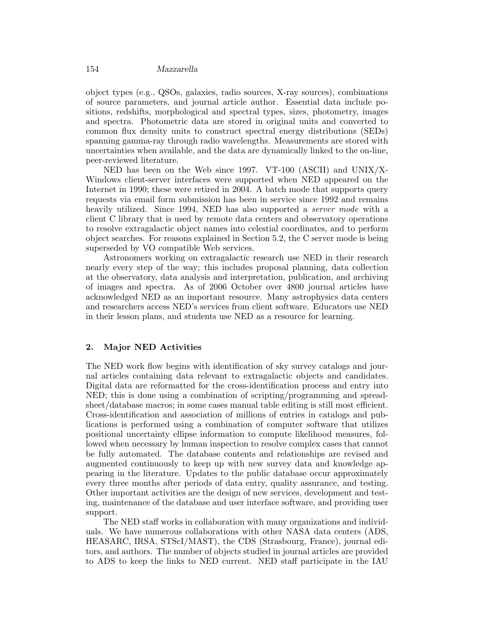object types (e.g., QSOs, galaxies, radio sources, X-ray sources), combinations of source parameters, and journal article author. Essential data include positions, redshifts, morphological and spectral types, sizes, photometry, images and spectra. Photometric data are stored in original units and converted to common flux density units to construct spectral energy distributions (SEDs) spanning gamma-ray through radio wavelengths. Measurements are stored with uncertainties when available, and the data are dynamically linked to the on-line, peer-reviewed literature.

NED has been on the Web since 1997. VT-100 (ASCII) and UNIX/X-Windows client-server interfaces were supported when NED appeared on the Internet in 1990; these were retired in 2004. A batch mode that supports query requests via email form submission has been in service since 1992 and remains heavily utilized. Since 1994, NED has also supported a *server mode* with a client C library that is used by remote data centers and observatory operations to resolve extragalactic object names into celestial coordinates, and to perform object searches. For reasons explained in Section 5.2, the C server mode is being superseded by VO compatible Web services.

Astronomers working on extragalactic research use NED in their research nearly every step of the way; this includes proposal planning, data collection at the observatory, data analysis and interpretation, publication, and archiving of images and spectra. As of 2006 October over 4800 journal articles have acknowledged NED as an important resource. Many astrophysics data centers and researchers access NED's services from client software. Educators use NED in their lesson plans, and students use NED as a resource for learning.

### 2. Major NED Activities

The NED work flow begins with identification of sky survey catalogs and journal articles containing data relevant to extragalactic objects and candidates. Digital data are reformatted for the cross-identification process and entry into NED; this is done using a combination of scripting/programming and spreadsheet/database macros; in some cases manual table editing is still most efficient. Cross-identification and association of millions of entries in catalogs and publications is performed using a combination of computer software that utilizes positional uncertainty ellipse information to compute likelihood measures, followed when necessary by human inspection to resolve complex cases that cannot be fully automated. The database contents and relationships are revised and augmented continuously to keep up with new survey data and knowledge appearing in the literature. Updates to the public database occur approximately every three months after periods of data entry, quality assurance, and testing. Other important activities are the design of new services, development and testing, maintenance of the database and user interface software, and providing user support.

The NED staff works in collaboration with many organizations and individuals. We have numerous collaborations with other NASA data centers (ADS, HEASARC, IRSA, STScI/MAST), the CDS (Strasbourg, France), journal editors, and authors. The number of objects studied in journal articles are provided to ADS to keep the links to NED current. NED staff participate in the IAU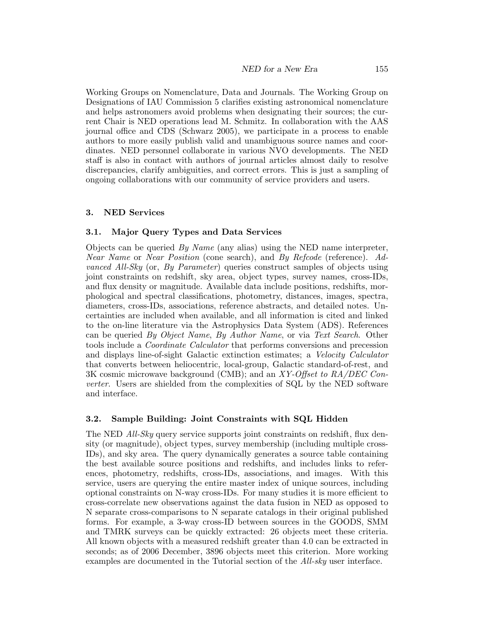Working Groups on Nomenclature, Data and Journals. The Working Group on Designations of IAU Commission 5 clarifies existing astronomical nomenclature and helps astronomers avoid problems when designating their sources; the current Chair is NED operations lead M. Schmitz. In collaboration with the AAS journal office and CDS (Schwarz 2005), we participate in a process to enable authors to more easily publish valid and unambiguous source names and coordinates. NED personnel collaborate in various NVO developments. The NED staff is also in contact with authors of journal articles almost daily to resolve discrepancies, clarify ambiguities, and correct errors. This is just a sampling of ongoing collaborations with our community of service providers and users.

#### 3. NED Services

### 3.1. Major Query Types and Data Services

Objects can be queried  $By Name$  (any alias) using the NED name interpreter, Near Name or Near Position (cone search), and By Refcode (reference). Advanced All-Sky (or, By Parameter) queries construct samples of objects using joint constraints on redshift, sky area, object types, survey names, cross-IDs, and flux density or magnitude. Available data include positions, redshifts, morphological and spectral classifications, photometry, distances, images, spectra, diameters, cross-IDs, associations, reference abstracts, and detailed notes. Uncertainties are included when available, and all information is cited and linked to the on-line literature via the Astrophysics Data System (ADS). References can be queried By Object Name, By Author Name, or via Text Search. Other tools include a Coordinate Calculator that performs conversions and precession and displays line-of-sight Galactic extinction estimates; a Velocity Calculator that converts between heliocentric, local-group, Galactic standard-of-rest, and 3K cosmic microwave background (CMB); and an XY-Offset to RA/DEC Converter. Users are shielded from the complexities of SQL by the NED software and interface.

#### 3.2. Sample Building: Joint Constraints with SQL Hidden

The NED All-Sky query service supports joint constraints on redshift, flux density (or magnitude), object types, survey membership (including multiple cross-IDs), and sky area. The query dynamically generates a source table containing the best available source positions and redshifts, and includes links to references, photometry, redshifts, cross-IDs, associations, and images. With this service, users are querying the entire master index of unique sources, including optional constraints on N-way cross-IDs. For many studies it is more efficient to cross-correlate new observations against the data fusion in NED as opposed to N separate cross-comparisons to N separate catalogs in their original published forms. For example, a 3-way cross-ID between sources in the GOODS, SMM and TMRK surveys can be quickly extracted: 26 objects meet these criteria. All known objects with a measured redshift greater than 4.0 can be extracted in seconds; as of 2006 December, 3896 objects meet this criterion. More working examples are documented in the Tutorial section of the All-sky user interface.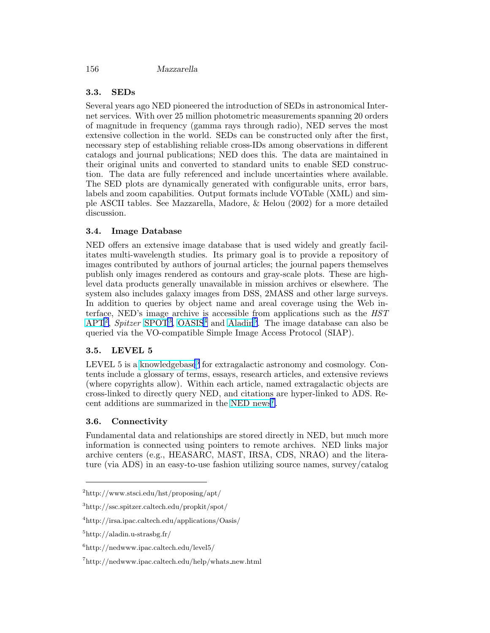# 3.3. SEDs

Several years ago NED pioneered the introduction of SEDs in astronomical Internet services. With over 25 million photometric measurements spanning 20 orders of magnitude in frequency (gamma rays through radio), NED serves the most extensive collection in the world. SEDs can be constructed only after the first, necessary step of establishing reliable cross-IDs among observations in different catalogs and journal publications; NED does this. The data are maintained in their original units and converted to standard units to enable SED construction. The data are fully referenced and include uncertainties where available. The SED plots are dynamically generated with configurable units, error bars, labels and zoom capabilities. Output formats include VOTable (XML) and simple ASCII tables. See Mazzarella, Madore, & Helou (2002) for a more detailed discussion.

# 3.4. Image Database

NED offers an extensive image database that is used widely and greatly facilitates multi-wavelength studies. Its primary goal is to provide a repository of images contributed by authors of journal articles; the journal papers themselves publish only images rendered as contours and gray-scale plots. These are highlevel data products generally unavailable in mission archives or elsewhere. The system also includes galaxy images from DSS, 2MASS and other large surveys. In addition to queries by object name and areal coverage using the Web interface, NED's image archive is accessible from applications such as the HST  $\rm APT<sup>2</sup>,$  $\rm APT<sup>2</sup>,$  $\rm APT<sup>2</sup>,$  Spitzer [SPOT](http://ssc.spitzer.caltech.edu/propkit/spot/)<sup>3</sup>, [OASIS](http://irsa.ipac.caltech.edu/applications/Oasis/)<sup>4</sup> and [Aladin](http://aladin.u-strasbg.fr/)<sup>5</sup>. The image database can also be queried via the VO-compatible Simple Image Access Protocol (SIAP).

# 3.5. LEVEL 5

LEVEL 5 is a [knowledgebase](http://nedwww.ipac.caltech.edu/level5/)<sup>6</sup> for extragalactic astronomy and cosmology. Contents include a glossary of terms, essays, research articles, and extensive reviews (where copyrights allow). Within each article, named extragalactic objects are cross-linked to directly query NED, and citations are hyper-linked to ADS. Re-cent additions are summarized in the [NED news](http://nedwww.ipac.caltech.edu/help/whats_new.html)<sup>7</sup>.

# 3.6. Connectivity

Fundamental data and relationships are stored directly in NED, but much more information is connected using pointers to remote archives. NED links major archive centers (e.g., HEASARC, MAST, IRSA, CDS, NRAO) and the literature (via ADS) in an easy-to-use fashion utilizing source names, survey/catalog

<sup>2</sup>http://www.stsci.edu/hst/proposing/apt/

<sup>3</sup>http://ssc.spitzer.caltech.edu/propkit/spot/

<sup>4</sup>http://irsa.ipac.caltech.edu/applications/Oasis/

 $5$ http://aladin.u-strasbg.fr/

<sup>6</sup>http://nedwww.ipac.caltech.edu/level5/

<sup>7</sup>http://nedwww.ipac.caltech.edu/help/whats new.html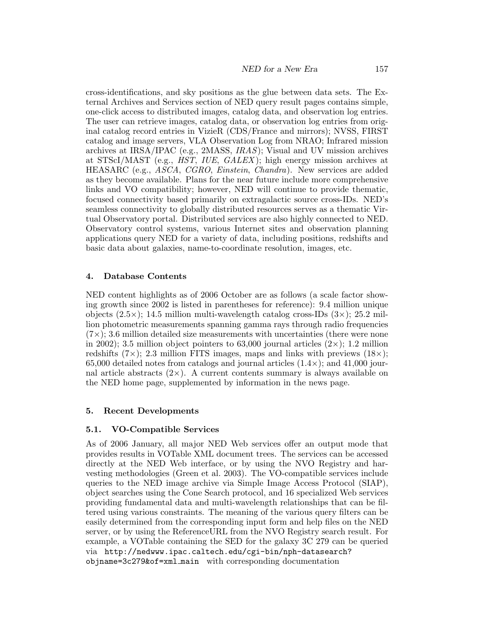NED for a New Era 157

cross-identifications, and sky positions as the glue between data sets. The External Archives and Services section of NED query result pages contains simple, one-click access to distributed images, catalog data, and observation log entries. The user can retrieve images, catalog data, or observation log entries from original catalog record entries in VizieR (CDS/France and mirrors); NVSS, FIRST catalog and image servers, VLA Observation Log from NRAO; Infrared mission archives at IRSA/IPAC (e.g., 2MASS,  $IRAS$ ); Visual and UV mission archives at STScI/MAST (e.g., HST, IUE, GALEX ); high energy mission archives at HEASARC (e.g., ASCA, CGRO, Einstein, Chandra). New services are added as they become available. Plans for the near future include more comprehensive links and VO compatibility; however, NED will continue to provide thematic, focused connectivity based primarily on extragalactic source cross-IDs. NED's seamless connectivity to globally distributed resources serves as a thematic Virtual Observatory portal. Distributed services are also highly connected to NED. Observatory control systems, various Internet sites and observation planning applications query NED for a variety of data, including positions, redshifts and basic data about galaxies, name-to-coordinate resolution, images, etc.

# 4. Database Contents

NED content highlights as of 2006 October are as follows (a scale factor showing growth since 2002 is listed in parentheses for reference): 9.4 million unique objects  $(2.5\times); 14.5$  million multi-wavelength catalog cross-IDs  $(3\times); 25.2$  million photometric measurements spanning gamma rays through radio frequencies  $(7\times)$ ; 3.6 million detailed size measurements with uncertainties (there were none in 2002); 3.5 million object pointers to 63,000 journal articles  $(2\times)$ ; 1.2 million redshifts  $(7\times)$ ; 2.3 million FITS images, maps and links with previews  $(18\times)$ ; 65,000 detailed notes from catalogs and journal articles  $(1.4\times)$ ; and  $41,000$  journal article abstracts  $(2\times)$ . A current contents summary is always available on the NED home page, supplemented by information in the news page.

# 5. Recent Developments

#### 5.1. VO-Compatible Services

As of 2006 January, all major NED Web services offer an output mode that provides results in VOTable XML document trees. The services can be accessed directly at the NED Web interface, or by using the NVO Registry and harvesting methodologies (Green et al. 2003). The VO-compatible services include queries to the NED image archive via Simple Image Access Protocol (SIAP), object searches using the Cone Search protocol, and 16 specialized Web services providing fundamental data and multi-wavelength relationships that can be filtered using various constraints. The meaning of the various query filters can be easily determined from the corresponding input form and help files on the NED server, or by using the ReferenceURL from the NVO Registry search result. For example, a VOTable containing the SED for the galaxy 3C 279 can be queried via http://nedwww.ipac.caltech.edu/cgi-bin/nph-datasearch? objname=3c279&of=xml main with corresponding documentation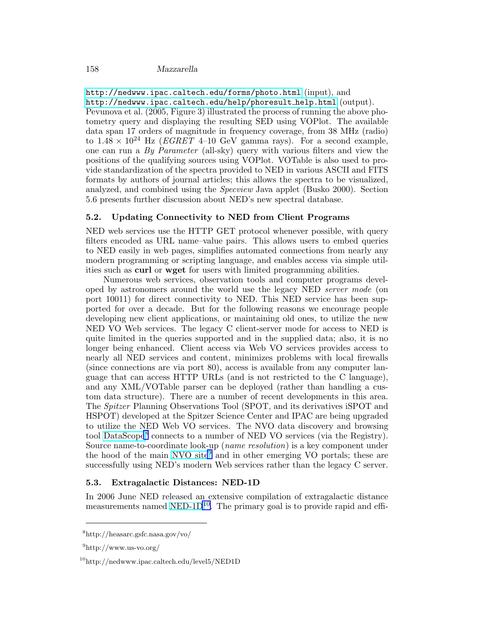<http://nedwww.ipac.caltech.edu/forms/photo.html> (input), and [http://nedwww.ipac.caltech.edu/help/phoresult](http://nedwww.ipac.caltech.edu/help/phoresult_help.html) help.html (output). Pevunova et al. (2005, Figure 3) illustrated the process of running the above photometry query and displaying the resulting SED using VOPlot. The available data span 17 orders of magnitude in frequency coverage, from 38 MHz (radio) to  $1.48 \times 10^{24}$  Hz (*EGRET* 4–10 GeV gamma rays). For a second example, one can run a  $By$  Parameter (all-sky) query with various filters and view the positions of the qualifying sources using VOPlot. VOTable is also used to provide standardization of the spectra provided to NED in various ASCII and FITS formats by authors of journal articles; this allows the spectra to be visualized, analyzed, and combined using the Specview Java applet (Busko 2000). Section

# 5.2. Updating Connectivity to NED from Client Programs

5.6 presents further discussion about NED's new spectral database.

NED web services use the HTTP GET protocol whenever possible, with query filters encoded as URL name–value pairs. This allows users to embed queries to NED easily in web pages, simplifies automated connections from nearly any modern programming or scripting language, and enables access via simple utilities such as curl or wget for users with limited programming abilities.

Numerous web services, observation tools and computer programs developed by astronomers around the world use the legacy NED server mode (on port 10011) for direct connectivity to NED. This NED service has been supported for over a decade. But for the following reasons we encourage people developing new client applications, or maintaining old ones, to utilize the new NED VO Web services. The legacy C client-server mode for access to NED is quite limited in the queries supported and in the supplied data; also, it is no longer being enhanced. Client access via Web VO services provides access to nearly all NED services and content, minimizes problems with local firewalls (since connections are via port 80), access is available from any computer language that can access HTTP URLs (and is not restricted to the C language), and any XML/VOTable parser can be deployed (rather than handling a custom data structure). There are a number of recent developments in this area. The Spitzer Planning Observations Tool (SPOT, and its derivatives iSPOT and HSPOT) developed at the Spitzer Science Center and IPAC are being upgraded to utilize the NED Web VO services. The NVO data discovery and browsing tool [DataScope](http://heasarc.gsfc.nasa.gov/vo/)<sup>8</sup> connects to a number of NED VO services (via the Registry). Source name-to-coordinate look-up (name resolution) is a key component under the hood of the main [NVO site](http://www.us-vo.org/)<sup>9</sup> and in other emerging VO portals; these are successfully using NED's modern Web services rather than the legacy C server.

### 5.3. Extragalactic Distances: NED-1D

In 2006 June NED released an extensive compilation of extragalactic distance measurements named NED- $1D^{10}$ . The primary goal is to provide rapid and effi-

<sup>8</sup>http://heasarc.gsfc.nasa.gov/vo/

 $^{9}$ http://www.us-vo.org/

<sup>10</sup>http://nedwww.ipac.caltech.edu/level5/NED1D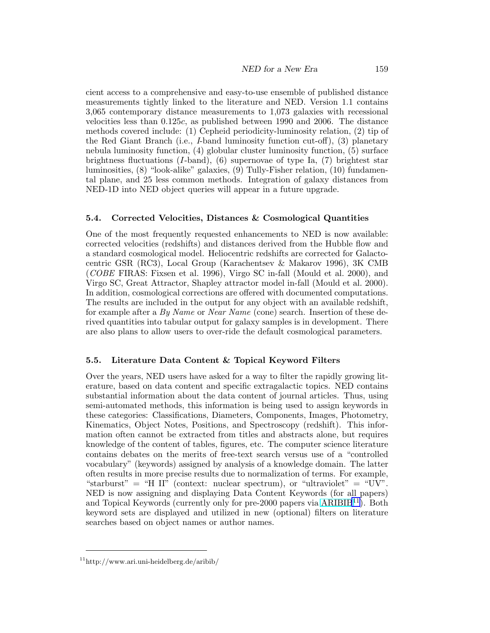cient access to a comprehensive and easy-to-use ensemble of published distance measurements tightly linked to the literature and NED. Version 1.1 contains 3,065 contemporary distance measurements to 1,073 galaxies with recessional velocities less than 0.125c, as published between 1990 and 2006. The distance methods covered include: (1) Cepheid periodicity-luminosity relation, (2) tip of the Red Giant Branch (i.e., I-band luminosity function cut-off), (3) planetary nebula luminosity function, (4) globular cluster luminosity function, (5) surface brightness fluctuations  $(I$ -band),  $(6)$  supernovae of type Ia,  $(7)$  brightest star luminosities, (8) "look-alike" galaxies, (9) Tully-Fisher relation, (10) fundamental plane, and 25 less common methods. Integration of galaxy distances from NED-1D into NED object queries will appear in a future upgrade.

### 5.4. Corrected Velocities, Distances & Cosmological Quantities

One of the most frequently requested enhancements to NED is now available: corrected velocities (redshifts) and distances derived from the Hubble flow and a standard cosmological model. Heliocentric redshifts are corrected for Galactocentric GSR (RC3), Local Group (Karachentsev & Makarov 1996), 3K CMB (COBE FIRAS: Fixsen et al. 1996), Virgo SC in-fall (Mould et al. 2000), and Virgo SC, Great Attractor, Shapley attractor model in-fall (Mould et al. 2000). In addition, cosmological corrections are offered with documented computations. The results are included in the output for any object with an available redshift, for example after a By Name or Near Name (cone) search. Insertion of these derived quantities into tabular output for galaxy samples is in development. There are also plans to allow users to over-ride the default cosmological parameters.

# 5.5. Literature Data Content & Topical Keyword Filters

Over the years, NED users have asked for a way to filter the rapidly growing literature, based on data content and specific extragalactic topics. NED contains substantial information about the data content of journal articles. Thus, using semi-automated methods, this information is being used to assign keywords in these categories: Classifications, Diameters, Components, Images, Photometry, Kinematics, Object Notes, Positions, and Spectroscopy (redshift). This information often cannot be extracted from titles and abstracts alone, but requires knowledge of the content of tables, figures, etc. The computer science literature contains debates on the merits of free-text search versus use of a "controlled vocabulary" (keywords) assigned by analysis of a knowledge domain. The latter often results in more precise results due to normalization of terms. For example, "starburst" = "H II" (context: nuclear spectrum), or "ultraviolet" = "UV". NED is now assigning and displaying Data Content Keywords (for all papers) and Topical Keywords (currently only for pre-2000 papers via  $ARIBIB<sup>11</sup>$  $ARIBIB<sup>11</sup>$ ). Both keyword sets are displayed and utilized in new (optional) filters on literature searches based on object names or author names.

<sup>11</sup>http://www.ari.uni-heidelberg.de/aribib/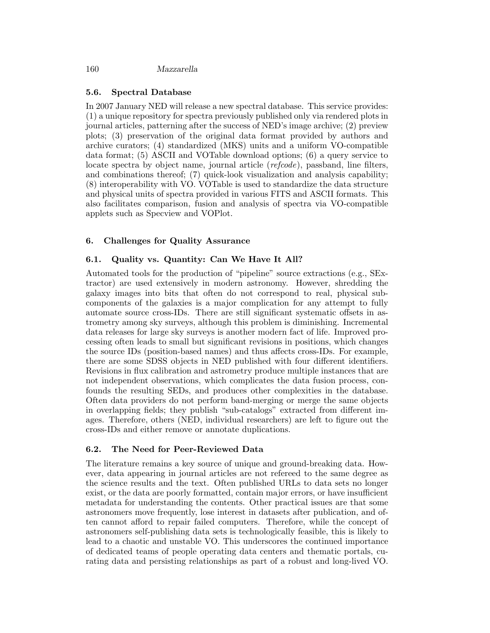### 5.6. Spectral Database

In 2007 January NED will release a new spectral database. This service provides: (1) a unique repository for spectra previously published only via rendered plots in journal articles, patterning after the success of NED's image archive; (2) preview plots; (3) preservation of the original data format provided by authors and archive curators; (4) standardized (MKS) units and a uniform VO-compatible data format; (5) ASCII and VOTable download options; (6) a query service to locate spectra by object name, journal article (*refcode*), passband, line filters, and combinations thereof; (7) quick-look visualization and analysis capability; (8) interoperability with VO. VOTable is used to standardize the data structure and physical units of spectra provided in various FITS and ASCII formats. This also facilitates comparison, fusion and analysis of spectra via VO-compatible applets such as Specview and VOPlot.

### 6. Challenges for Quality Assurance

### 6.1. Quality vs. Quantity: Can We Have It All?

Automated tools for the production of "pipeline" source extractions (e.g., SExtractor) are used extensively in modern astronomy. However, shredding the galaxy images into bits that often do not correspond to real, physical subcomponents of the galaxies is a major complication for any attempt to fully automate source cross-IDs. There are still significant systematic offsets in astrometry among sky surveys, although this problem is diminishing. Incremental data releases for large sky surveys is another modern fact of life. Improved processing often leads to small but significant revisions in positions, which changes the source IDs (position-based names) and thus affects cross-IDs. For example, there are some SDSS objects in NED published with four different identifiers. Revisions in flux calibration and astrometry produce multiple instances that are not independent observations, which complicates the data fusion process, confounds the resulting SEDs, and produces other complexities in the database. Often data providers do not perform band-merging or merge the same objects in overlapping fields; they publish "sub-catalogs" extracted from different images. Therefore, others (NED, individual researchers) are left to figure out the cross-IDs and either remove or annotate duplications.

#### 6.2. The Need for Peer-Reviewed Data

The literature remains a key source of unique and ground-breaking data. However, data appearing in journal articles are not refereed to the same degree as the science results and the text. Often published URLs to data sets no longer exist, or the data are poorly formatted, contain major errors, or have insufficient metadata for understanding the contents. Other practical issues are that some astronomers move frequently, lose interest in datasets after publication, and often cannot afford to repair failed computers. Therefore, while the concept of astronomers self-publishing data sets is technologically feasible, this is likely to lead to a chaotic and unstable VO. This underscores the continued importance of dedicated teams of people operating data centers and thematic portals, curating data and persisting relationships as part of a robust and long-lived VO.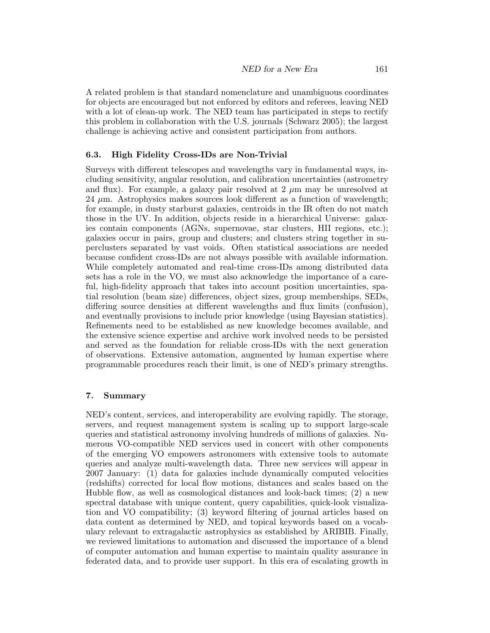A related problem is that standard nomenclature and unambiguous coordinates for objects are encouraged but not enforced by editors and referees, leaving NED with a lot of clean-up work. The NED team has participated in steps to rectify this problem in collaboration with the U.S. journals (Schwarz 2005); the largest challenge is achieving active and consistent participation from authors.

#### 6.3. High Fidelity Cross-IDs are Non-Trivial

Surveys with different telescopes and wavelengths vary in fundamental ways, including sensitivity, angular resolution, and calibration uncertainties (astrometry and flux). For example, a galaxy pair resolved at  $2 \mu m$  may be unresolved at  $24 \mu m$ . Astrophysics makes sources look different as a function of wavelength; for example, in dusty starburst galaxies, centroids in the IR often do not match those in the UV. In addition, objects reside in a hierarchical Universe: galaxies contain components (AGNs, supernovae, star clusters, HII regions, etc.); galaxies occur in pairs, group and clusters; and clusters string together in superclusters separated by vast voids. Often statistical associations are needed because confident cross-IDs are not always possible with available information. While completely automated and real-time cross-IDs among distributed data sets has a role in the VO, we must also acknowledge the importance of a careful, high-fidelity approach that takes into account position uncertainties, spatial resolution (beam size) differences, object sizes, group memberships, SEDs, differing source densities at different wavelengths and flux limits (confusion), and eventually provisions to include prior knowledge (using Bayesian statistics). Refinements need to be established as new knowledge becomes available, and the extensive science expertise and archive work involved needs to be persisted and served as the foundation for reliable cross-IDs with the next generation of observations. Extensive automation, augmented by human expertise where programmable procedures reach their limit, is one of NED's primary strengths.

#### 7. Summary

NED's content, services, and interoperability are evolving rapidly. The storage, servers, and request management system is scaling up to support large-scale queries and statistical astronomy involving hundreds of millions of galaxies. Numerous VO-compatible NED services used in concert with other components of the emerging VO empowers astronomers with extensive tools to automate queries and analyze multi-wavelength data. Three new services will appear in 2007 January: (1) data for galaxies include dynamically computed velocities (redshifts) corrected for local flow motions, distances and scales based on the Hubble flow, as well as cosmological distances and look-back times; (2) a new spectral database with unique content, query capabilities, quick-look visualization and VO compatibility; (3) keyword filtering of journal articles based on data content as determined by NED, and topical keywords based on a vocabulary relevant to extragalactic astrophysics as established by ARIBIB. Finally, we reviewed limitations to automation and discussed the importance of a blend of computer automation and human expertise to maintain quality assurance in federated data, and to provide user support. In this era of escalating growth in